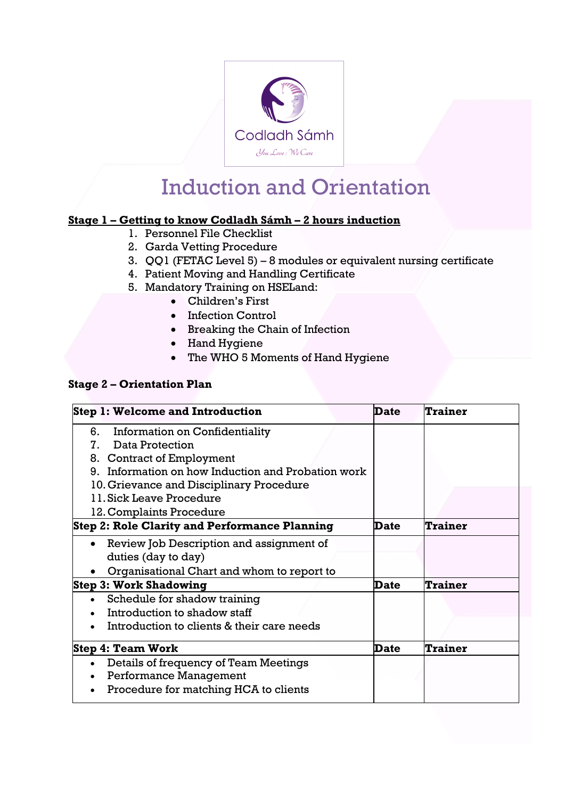

## Induction and Orientation

## **Stage 1 – Getting to know Codladh Sámh – 2 hours induction**

- 1. Personnel File Checklist
- 2. Garda Vetting Procedure
- 3. QQ1 (FETAC Level 5) 8 modules or equivalent nursing certificate
- 4. Patient Moving and Handling Certificate
- 5. Mandatory Training on HSELand:
	- Children's First
	- Infection Control
	- Breaking the Chain of Infection
	- Hand Hygiene
	- The WHO 5 Moments of Hand Hygiene

## **Stage 2 – Orientation Plan**

| <b>Step 1: Welcome and Introduction</b>              | Date | Trainer        |
|------------------------------------------------------|------|----------------|
| Information on Confidentiality<br>6.                 |      |                |
| Data Protection<br>$7_{-}$                           |      |                |
| 8. Contract of Employment                            |      |                |
| 9. Information on how Induction and Probation work   |      |                |
| 10. Grievance and Disciplinary Procedure             |      |                |
| 11. Sick Leave Procedure                             |      |                |
| 12. Complaints Procedure                             |      |                |
| <b>Step 2: Role Clarity and Performance Planning</b> | Date | Trainer        |
| Review Job Description and assignment of             |      |                |
| duties (day to day)                                  |      |                |
| Organisational Chart and whom to report to           |      |                |
| <b>Step 3: Work Shadowing</b>                        | Date | <b>Trainer</b> |
| Schedule for shadow training                         |      |                |
| Introduction to shadow staff                         |      |                |
| Introduction to clients & their care needs           |      |                |
| Step 4: Team Work                                    | Date | <b>Trainer</b> |
| Details of frequency of Team Meetings                |      |                |
| Performance Management<br>$\bullet$                  |      |                |
| Procedure for matching HCA to clients                |      |                |
|                                                      |      |                |